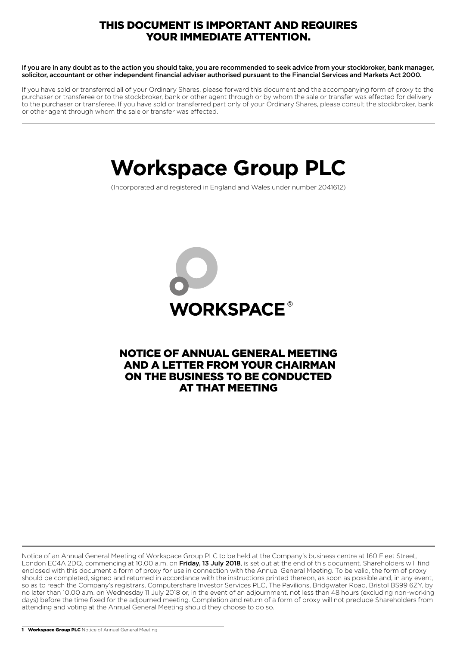# THIS DOCUMENT IS IMPORTANT AND REQUIRES YOUR IMMEDIATE ATTENTION.

If you are in any doubt as to the action you should take, you are recommended to seek advice from your stockbroker, bank manager, solicitor, accountant or other independent financial adviser authorised pursuant to the Financial Services and Markets Act 2000.

If you have sold or transferred all of your Ordinary Shares, please forward this document and the accompanying form of proxy to the purchaser or transferee or to the stockbroker, bank or other agent through or by whom the sale or transfer was effected for delivery to the purchaser or transferee. If you have sold or transferred part only of your Ordinary Shares, please consult the stockbroker, bank or other agent through whom the sale or transfer was effected.

# **Workspace Group PLC**

(Incorporated and registered in England and Wales under number 2041612)



# NOTICE OF ANNUAL GENERAL MEETING AND A LETTER FROM YOUR CHAIRMAN ON THE BUSINESS TO BE CONDUCTED AT THAT MEETING

Notice of an Annual General Meeting of Workspace Group PLC to be held at the Company's business centre at 160 Fleet Street, London EC4A 2DQ, commencing at 10.00 a.m. on Friday, 13 July 2018, is set out at the end of this document. Shareholders will find enclosed with this document a form of proxy for use in connection with the Annual General Meeting. To be valid, the form of proxy should be completed, signed and returned in accordance with the instructions printed thereon, as soon as possible and, in any event, so as to reach the Company's registrars, Computershare Investor Services PLC, The Pavilions, Bridgwater Road, Bristol BS99 6ZY, by no later than 10.00 a.m. on Wednesday 11 July 2018 or, in the event of an adjournment, not less than 48 hours (excluding non-working days) before the time fixed for the adjourned meeting. Completion and return of a form of proxy will not preclude Shareholders from attending and voting at the Annual General Meeting should they choose to do so.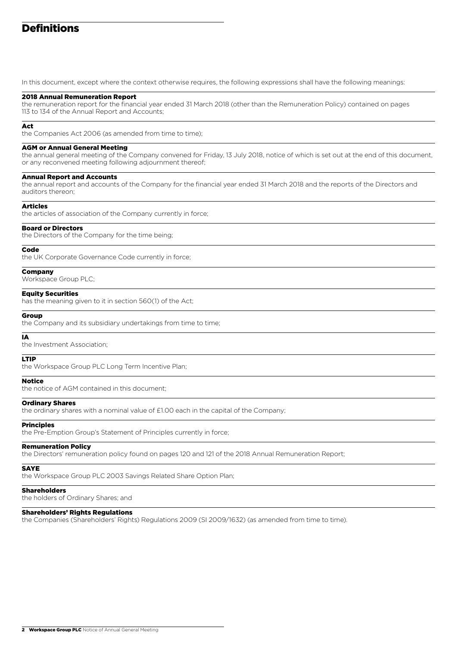# Definitions

In this document, except where the context otherwise requires, the following expressions shall have the following meanings:

#### 2018 Annual Remuneration Report

the remuneration report for the financial year ended 31 March 2018 (other than the Remuneration Policy) contained on pages 113 to 134 of the Annual Report and Accounts;

#### Act

the Companies Act 2006 (as amended from time to time);

#### AGM or Annual General Meeting

the annual general meeting of the Company convened for Friday, 13 July 2018, notice of which is set out at the end of this document, or any reconvened meeting following adjournment thereof;

#### Annual Report and Accounts

the annual report and accounts of the Company for the financial year ended 31 March 2018 and the reports of the Directors and auditors thereon;

#### Articles

the articles of association of the Company currently in force;

#### Board or Directors

the Directors of the Company for the time being;

#### Code

the UK Corporate Governance Code currently in force;

#### Company

Workspace Group PLC;

#### Equity Securities

has the meaning given to it in section 560(1) of the Act;

#### Group

the Company and its subsidiary undertakings from time to time;

#### IA

the Investment Association;

#### LTIP

the Workspace Group PLC Long Term Incentive Plan;

#### Notice

the notice of AGM contained in this document;

#### Ordinary Shares

the ordinary shares with a nominal value of £1.00 each in the capital of the Company;

## Principles

the Pre-Emption Group's Statement of Principles currently in force;

#### Remuneration Policy

the Directors' remuneration policy found on pages 120 and 121 of the 2018 Annual Remuneration Report;

#### SAYE

the Workspace Group PLC 2003 Savings Related Share Option Plan;

#### Shareholders

the holders of Ordinary Shares; and

#### Shareholders' Rights Regulations

the Companies (Shareholders' Rights) Regulations 2009 (SI 2009/1632) (as amended from time to time).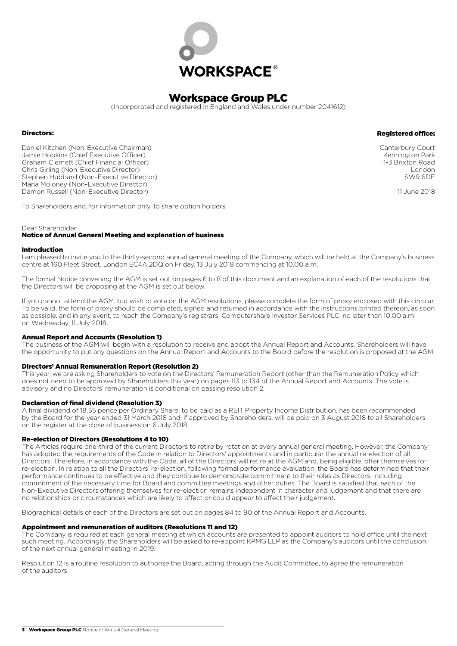

(Incorporated and registered in England and Wales under number 2041612)

#### Directors:

Daniel Kitchen (Non-Executive Chairman) Jamie Hopkins (Chief Executive Officer) Graham Clemett (Chief Financial Officer) Chris Girling (Non-Executive Director) Stephen Hubbard (Non-Executive Director) Maria Moloney (Non-Executive Director) Damon Russell (Non-Executive Director)

Registered office:

Canterbury Court Kennington Park 1-3 Brixton Road London SW9 6DE

11 June 2018

To Shareholders and, for information only, to share option holders

#### Dear Shareholder

#### Notice of Annual General Meeting and explanation of business

#### Introduction

I am pleased to invite you to the thirty-second annual general meeting of the Company, which will be held at the Company's business centre at 160 Fleet Street, London EC4A 2DQ on Friday, 13 July 2018 commencing at 10.00 a.m.

The formal Notice convening the AGM is set out on pages 6 to 8 of this document and an explanation of each of the resolutions that the Directors will be proposing at the AGM is set out below.

If you cannot attend the AGM, but wish to vote on the AGM resolutions, please complete the form of proxy enclosed with this circular. To be valid, the form of proxy should be completed, signed and returned in accordance with the instructions printed thereon, as soon as possible, and in any event, to reach the Company's registrars, Computershare Investor Services PLC, no later than 10.00 a.m. on Wednesday, 11 July 2018.

#### Annual Report and Accounts (Resolution 1)

The business of the AGM will begin with a resolution to receive and adopt the Annual Report and Accounts. Shareholders will have the opportunity to put any questions on the Annual Report and Accounts to the Board before the resolution is proposed at the AGM.

#### Directors' Annual Remuneration Report (Resolution 2)

This year, we are asking Shareholders to vote on the Directors' Remuneration Report (other than the Remuneration Policy which does not need to be approved by Shareholders this year) on pages 113 to 134 of the Annual Report and Accounts. The vote is advisory and no Directors' remuneration is conditional on passing resolution 2.

#### Declaration of final dividend (Resolution 3)

A final dividend of 18.55 pence per Ordinary Share, to be paid as a REIT Property Income Distribution, has been recommended by the Board for the year ended 31 March 2018 and, if approved by Shareholders, will be paid on 3 August 2018 to all Shareholders on the register at the close of business on 6 July 2018.

#### Re-election of Directors (Resolutions 4 to 10)

The Articles require one-third of the current Directors to retire by rotation at every annual general meeting. However, the Company has adopted the requirements of the Code in relation to Directors' appointments and in particular the annual re-election of all Directors. Therefore, in accordance with the Code, all of the Directors will retire at the AGM and, being eligible, offer themselves for re-election. In relation to all the Directors' re-election, following formal performance evaluation, the Board has determined that their performance continues to be effective and they continue to demonstrate commitment to their roles as Directors, including commitment of the necessary time for Board and committee meetings and other duties. The Board is satisfied that each of the Non-Executive Directors offering themselves for re-election remains independent in character and judgement and that there are no relationships or circumstances which are likely to affect or could appear to affect their judgement.

Biographical details of each of the Directors are set out on pages 84 to 90 of the Annual Report and Accounts.

#### Appointment and remuneration of auditors (Resolutions 11 and 12)

The Company is required at each general meeting at which accounts are presented to appoint auditors to hold office until the next such meeting. Accordingly, the Shareholders will be asked to re-appoint KPMG LLP as the Company's auditors until the conclusion of the next annual general meeting in 2019.

Resolution 12 is a routine resolution to authorise the Board, acting through the Audit Committee, to agree the remuneration of the auditors.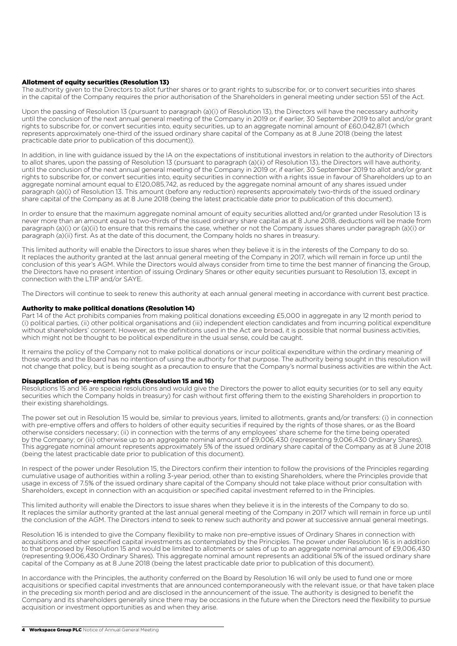#### Allotment of equity securities (Resolution 13)

The authority given to the Directors to allot further shares or to grant rights to subscribe for, or to convert securities into shares in the capital of the Company requires the prior authorisation of the Shareholders in general meeting under section 551 of the Act.

Upon the passing of Resolution 13 (pursuant to paragraph (a)(i) of Resolution 13), the Directors will have the necessary authority until the conclusion of the next annual general meeting of the Company in 2019 or, if earlier, 30 September 2019 to allot and/or grant rights to subscribe for, or convert securities into, equity securities, up to an aggregate nominal amount of £60,042,871 (which represents approximately one-third of the issued ordinary share capital of the Company as at 8 June 2018 (being the latest practicable date prior to publication of this document)).

In addition, in line with guidance issued by the IA on the expectations of institutional investors in relation to the authority of Directors to allot shares, upon the passing of Resolution 13 (pursuant to paragraph (a)(ii) of Resolution 13), the Directors will have authority, until the conclusion of the next annual general meeting of the Company in 2019 or, if earlier, 30 September 2019 to allot and/or grant rights to subscribe for, or convert securities into, equity securities in connection with a rights issue in favour of Shareholders up to an aggregate nominal amount equal to £120,085,742, as reduced by the aggregate nominal amount of any shares issued under paragraph (a)(i) of Resolution 13. This amount (before any reduction) represents approximately two-thirds of the issued ordinary share capital of the Company as at 8 June 2018 (being the latest practicable date prior to publication of this document).

In order to ensure that the maximum aggregate nominal amount of equity securities allotted and/or granted under Resolution 13 is never more than an amount equal to two-thirds of the issued ordinary share capital as at 8 June 2018, deductions will be made from paragraph (a)(i) or (a)(ii) to ensure that this remains the case, whether or not the Company issues shares under paragraph (a)(i) or paragraph (a)(ii) first. As at the date of this document, the Company holds no shares in treasury.

This limited authority will enable the Directors to issue shares when they believe it is in the interests of the Company to do so. It replaces the authority granted at the last annual general meeting of the Company in 2017, which will remain in force up until the conclusion of this year's AGM. While the Directors would always consider from time to time the best manner of financing the Group, the Directors have no present intention of issuing Ordinary Shares or other equity securities pursuant to Resolution 13, except in connection with the LTIP and/or SAYE.

The Directors will continue to seek to renew this authority at each annual general meeting in accordance with current best practice.

#### Authority to make political donations (Resolution 14)

Part 14 of the Act prohibits companies from making political donations exceeding £5,000 in aggregate in any 12 month period to (i) political parties, (ii) other political organisations and (iii) independent election candidates and from incurring political expenditure without shareholders' consent. However, as the definitions used in the Act are broad, it is possible that normal business activities, which might not be thought to be political expenditure in the usual sense, could be caught.

It remains the policy of the Company not to make political donations or incur political expenditure within the ordinary meaning of those words and the Board has no intention of using the authority for that purpose. The authority being sought in this resolution will not change that policy, but is being sought as a precaution to ensure that the Company's normal business activities are within the Act.

#### Disapplication of pre-emption rights (Resolution 15 and 16)

Resolutions 15 and 16 are special resolutions and would give the Directors the power to allot equity securities (or to sell any equity securities which the Company holds in treasury) for cash without first offering them to the existing Shareholders in proportion to their existing shareholdings.

The power set out in Resolution 15 would be, similar to previous years, limited to allotments, grants and/or transfers: (i) in connection with pre-emptive offers and offers to holders of other equity securities if required by the rights of those shares, or as the Board otherwise considers necessary; (ii) in connection with the terms of any employees' share scheme for the time being operated by the Company; or (iii) otherwise up to an aggregate nominal amount of £9,006,430 (representing 9,006,430 Ordinary Shares). This aggregate nominal amount represents approximately 5% of the issued ordinary share capital of the Company as at 8 June 2018 (being the latest practicable date prior to publication of this document).

In respect of the power under Resolution 15, the Directors confirm their intention to follow the provisions of the Principles regarding cumulative usage of authorities within a rolling 3-year period, other than to existing Shareholders, where the Principles provide that usage in excess of 7.5% of the issued ordinary share capital of the Company should not take place without prior consultation with Shareholders, except in connection with an acquisition or specified capital investment referred to in the Principles.

This limited authority will enable the Directors to issue shares when they believe it is in the interests of the Company to do so. It replaces the similar authority granted at the last annual general meeting of the Company in 2017 which will remain in force up until the conclusion of the AGM. The Directors intend to seek to renew such authority and power at successive annual general meetings.

Resolution 16 is intended to give the Company flexibility to make non pre-emptive issues of Ordinary Shares in connection with acquisitions and other specified capital investments as contemplated by the Principles. The power under Resolution 16 is in addition to that proposed by Resolution 15 and would be limited to allotments or sales of up to an aggregate nominal amount of £9,006,430 (representing 9,006,430 Ordinary Shares). This aggregate nominal amount represents an additional 5% of the issued ordinary share capital of the Company as at 8 June 2018 (being the latest practicable date prior to publication of this document).

In accordance with the Principles, the authority conferred on the Board by Resolution 16 will only be used to fund one or more acquisitions or specified capital investments that are announced contemporaneously with the relevant issue, or that have taken place in the preceding six month period and are disclosed in the announcement of the issue. The authority is designed to benefit the Company and its shareholders generally since there may be occasions in the future when the Directors need the flexibility to pursue acquisition or investment opportunities as and when they arise.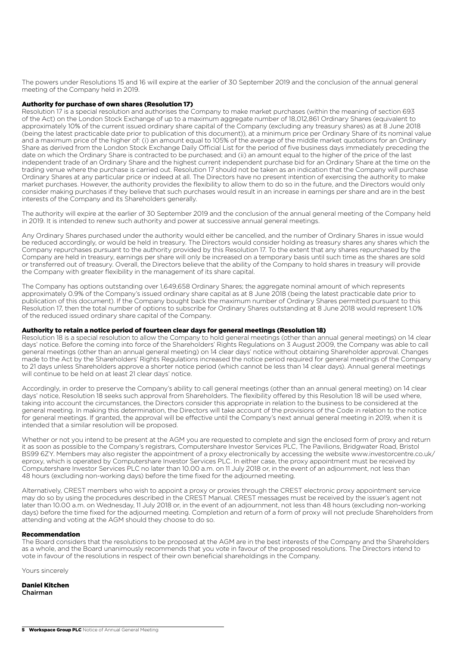The powers under Resolutions 15 and 16 will expire at the earlier of 30 September 2019 and the conclusion of the annual general meeting of the Company held in 2019.

#### Authority for purchase of own shares (Resolution 17)

Resolution 17 is a special resolution and authorises the Company to make market purchases (within the meaning of section 693 of the Act) on the London Stock Exchange of up to a maximum aggregate number of 18,012,861 Ordinary Shares (equivalent to approximately 10% of the current issued ordinary share capital of the Company (excluding any treasury shares) as at 8 June 2018 (being the latest practicable date prior to publication of this document)), at a minimum price per Ordinary Share of its nominal value and a maximum price of the higher of: (i) an amount equal to 105% of the average of the middle market quotations for an Ordinary Share as derived from the London Stock Exchange Daily Official List for the period of five business days immediately preceding the date on which the Ordinary Share is contracted to be purchased; and (ii) an amount equal to the higher of the price of the last independent trade of an Ordinary Share and the highest current independent purchase bid for an Ordinary Share at the time on the trading venue where the purchase is carried out. Resolution 17 should not be taken as an indication that the Company will purchase Ordinary Shares at any particular price or indeed at all. The Directors have no present intention of exercising the authority to make market purchases. However, the authority provides the flexibility to allow them to do so in the future, and the Directors would only consider making purchases if they believe that such purchases would result in an increase in earnings per share and are in the best interests of the Company and its Shareholders generally.

The authority will expire at the earlier of 30 September 2019 and the conclusion of the annual general meeting of the Company held in 2019. It is intended to renew such authority and power at successive annual general meetings.

Any Ordinary Shares purchased under the authority would either be cancelled, and the number of Ordinary Shares in issue would be reduced accordingly, or would be held in treasury. The Directors would consider holding as treasury shares any shares which the Company repurchases pursuant to the authority provided by this Resolution 17. To the extent that any shares repurchased by the Company are held in treasury, earnings per share will only be increased on a temporary basis until such time as the shares are sold or transferred out of treasury. Overall, the Directors believe that the ability of the Company to hold shares in treasury will provide the Company with greater flexibility in the management of its share capital.

The Company has options outstanding over 1,649,658 Ordinary Shares; the aggregate nominal amount of which represents approximately 0.9% of the Company's issued ordinary share capital as at 8 June 2018 (being the latest practicable date prior to publication of this document). If the Company bought back the maximum number of Ordinary Shares permitted pursuant to this Resolution 17, then the total number of options to subscribe for Ordinary Shares outstanding at 8 June 2018 would represent 1.0% of the reduced issued ordinary share capital of the Company.

#### Authority to retain a notice period of fourteen clear days for general meetings (Resolution 18)

Resolution 18 is a special resolution to allow the Company to hold general meetings (other than annual general meetings) on 14 clear days' notice. Before the coming into force of the Shareholders' Rights Regulations on 3 August 2009, the Company was able to call general meetings (other than an annual general meeting) on 14 clear days' notice without obtaining Shareholder approval. Changes made to the Act by the Shareholders' Rights Regulations increased the notice period required for general meetings of the Company to 21 days unless Shareholders approve a shorter notice period (which cannot be less than 14 clear days). Annual general meetings will continue to be held on at least 21 clear days' notice.

Accordingly, in order to preserve the Company's ability to call general meetings (other than an annual general meeting) on 14 clear days' notice, Resolution 18 seeks such approval from Shareholders. The flexibility offered by this Resolution 18 will be used where, taking into account the circumstances, the Directors consider this appropriate in relation to the business to be considered at the general meeting. In making this determination, the Directors will take account of the provisions of the Code in relation to the notice for general meetings. If granted, the approval will be effective until the Company's next annual general meeting in 2019, when it is intended that a similar resolution will be proposed.

Whether or not you intend to be present at the AGM you are requested to complete and sign the enclosed form of proxy and return it as soon as possible to the Company's registrars, Computershare Investor Services PLC, The Pavilions, Bridgwater Road, Bristol BS99 6ZY. Members may also register the appointment of a proxy electronically by accessing the website www.investorcentre.co.uk/ eproxy, which is operated by Computershare Investor Services PLC. In either case, the proxy appointment must be received by Computershare Investor Services PLC no later than 10.00 a.m. on 11 July 2018 or, in the event of an adjournment, not less than 48 hours (excluding non-working days) before the time fixed for the adjourned meeting.

Alternatively, CREST members who wish to appoint a proxy or proxies through the CREST electronic proxy appointment service may do so by using the procedures described in the CREST Manual. CREST messages must be received by the issuer's agent not later than 10.00 a.m. on Wednesday, 11 July 2018 or, in the event of an adjournment, not less than 48 hours (excluding non-working days) before the time fixed for the adjourned meeting. Completion and return of a form of proxy will not preclude Shareholders from attending and voting at the AGM should they choose to do so.

#### Recommendation

The Board considers that the resolutions to be proposed at the AGM are in the best interests of the Company and the Shareholders as a whole, and the Board unanimously recommends that you vote in favour of the proposed resolutions. The Directors intend to vote in favour of the resolutions in respect of their own beneficial shareholdings in the Company.

Yours sincerely

Daniel Kitchen Chairman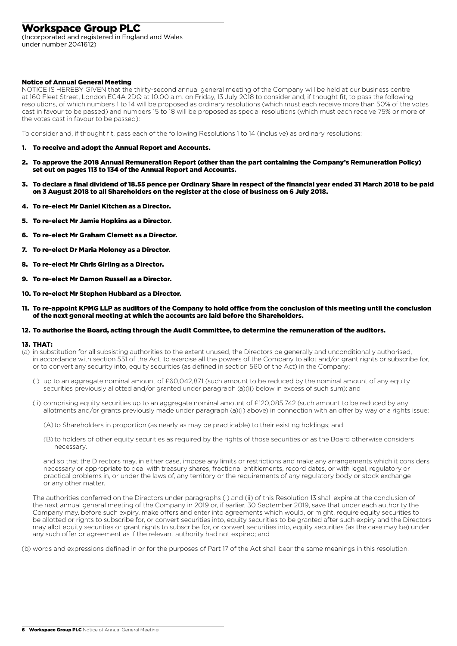(Incorporated and registered in England and Wales under number 2041612)

#### Notice of Annual General Meeting

NOTICE IS HEREBY GIVEN that the thirty-second annual general meeting of the Company will be held at our business centre at 160 Fleet Street, London EC4A 2DQ at 10.00 a.m. on Friday, 13 July 2018 to consider and, if thought fit, to pass the following resolutions, of which numbers 1 to 14 will be proposed as ordinary resolutions (which must each receive more than 50% of the votes cast in favour to be passed) and numbers 15 to 18 will be proposed as special resolutions (which must each receive 75% or more of the votes cast in favour to be passed):

To consider and, if thought fit, pass each of the following Resolutions 1 to 14 (inclusive) as ordinary resolutions:

- 1. To receive and adopt the Annual Report and Accounts.
- 2. To approve the 2018 Annual Remuneration Report (other than the part containing the Company's Remuneration Policy) set out on pages 113 to 134 of the Annual Report and Accounts.
- 3. To declare a final dividend of 18.55 pence per Ordinary Share in respect of the financial year ended 31 March 2018 to be paid on 3 August 2018 to all Shareholders on the register at the close of business on 6 July 2018.
- 4. To re-elect Mr Daniel Kitchen as a Director.
- 5. To re-elect Mr Jamie Hopkins as a Director.
- 6. To re-elect Mr Graham Clemett as a Director.
- 7. To re-elect Dr Maria Moloney as a Director.
- 8. To re-elect Mr Chris Girling as a Director.
- 9. To re-elect Mr Damon Russell as a Director.
- 10. To re-elect Mr Stephen Hubbard as a Director.
- 11. To re-appoint KPMG LLP as auditors of the Company to hold office from the conclusion of this meeting until the conclusion of the next general meeting at which the accounts are laid before the Shareholders.

#### 12. To authorise the Board, acting through the Audit Committee, to determine the remuneration of the auditors.

#### 13. THAT:

- (a) in substitution for all subsisting authorities to the extent unused, the Directors be generally and unconditionally authorised, in accordance with section 551 of the Act, to exercise all the powers of the Company to allot and/or grant rights or subscribe for, or to convert any security into, equity securities (as defined in section 560 of the Act) in the Company:
	- (i) up to an aggregate nominal amount of £60,042,871 (such amount to be reduced by the nominal amount of any equity securities previously allotted and/or granted under paragraph (a)(ii) below in excess of such sum); and
	- (ii) comprising equity securities up to an aggregate nominal amount of £120,085,742 (such amount to be reduced by any allotments and/or grants previously made under paragraph (a)(i) above) in connection with an offer by way of a rights issue:

(A) to Shareholders in proportion (as nearly as may be practicable) to their existing holdings; and

 (B) to holders of other equity securities as required by the rights of those securities or as the Board otherwise considers necessary,

 and so that the Directors may, in either case, impose any limits or restrictions and make any arrangements which it considers necessary or appropriate to deal with treasury shares, fractional entitlements, record dates, or with legal, regulatory or practical problems in, or under the laws of, any territory or the requirements of any regulatory body or stock exchange or any other matter.

 The authorities conferred on the Directors under paragraphs (i) and (ii) of this Resolution 13 shall expire at the conclusion of the next annual general meeting of the Company in 2019 or, if earlier, 30 September 2019, save that under each authority the Company may, before such expiry, make offers and enter into agreements which would, or might, require equity securities to be allotted or rights to subscribe for, or convert securities into, equity securities to be granted after such expiry and the Directors may allot equity securities or grant rights to subscribe for, or convert securities into, equity securities (as the case may be) under any such offer or agreement as if the relevant authority had not expired; and

(b) words and expressions defined in or for the purposes of Part 17 of the Act shall bear the same meanings in this resolution.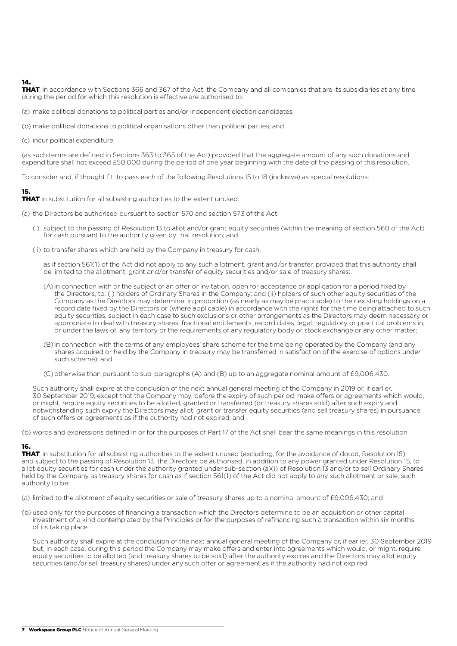## 14.

THAT, in accordance with Sections 366 and 367 of the Act, the Company and all companies that are its subsidiaries at any time during the period for which this resolution is effective are authorised to:

(a) make political donations to political parties and/or independent election candidates;

(b) make political donations to political organisations other than political parties; and

(c) incur political expenditure,

(as such terms are defined in Sections 363 to 365 of the Act) provided that the aggregate amount of any such donations and expenditure shall not exceed £50,000 during the period of one year beginning with the date of the passing of this resolution.

To consider and, if thought fit, to pass each of the following Resolutions 15 to 18 (inclusive) as special resolutions:

## 15.

THAT in substitution for all subsisting authorities to the extent unused:

(a) the Directors be authorised pursuant to section 570 and section 573 of the Act:

- (i) subject to the passing of Resolution 13 to allot and/or grant equity securities (within the meaning of section 560 of the Act) for cash pursuant to the authority given by that resolution; and
- (ii) to transfer shares which are held by the Company in treasury for cash,

 as if section 561(1) of the Act did not apply to any such allotment, grant and/or transfer, provided that this authority shall be limited to the allotment, grant and/or transfer of equity securities and/or sale of treasury shares:

- (A) in connection with or the subject of an offer or invitation, open for acceptance or application for a period fixed by the Directors, to: (i) holders of Ordinary Shares in the Company; and (ii) holders of such other equity securities of the Company as the Directors may determine, in proportion (as nearly as may be practicable) to their existing holdings on a record date fixed by the Directors or (where applicable) in accordance with the rights for the time being attached to such equity securities, subject in each case to such exclusions or other arrangements as the Directors may deem necessary or appropriate to deal with treasury shares, fractional entitlements, record dates, legal, regulatory or practical problems in, or under the laws of, any territory or the requirements of any regulatory body or stock exchange or any other matter;
- (B) in connection with the terms of any employees' share scheme for the time being operated by the Company (and any shares acquired or held by the Company in treasury may be transferred in satisfaction of the exercise of options under such scheme); and
- (C) otherwise than pursuant to sub-paragraphs (A) and (B) up to an aggregate nominal amount of £9,006,430.

 Such authority shall expire at the conclusion of the next annual general meeting of the Company in 2019 or, if earlier, 30 September 2019, except that the Company may, before the expiry of such period, make offers or agreements which would, or might, require equity securities to be allotted, granted or transferred (or treasury shares sold) after such expiry and notwithstanding such expiry the Directors may allot, grant or transfer equity securities (and sell treasury shares) in pursuance of such offers or agreements as if the authority had not expired; and

(b) words and expressions defined in or for the purposes of Part 17 of the Act shall bear the same meanings in this resolution.

## 16.

THAT, in substitution for all subsisting authorities to the extent unused (excluding, for the avoidance of doubt, Resolution 15) and subject to the passing of Resolution 13, the Directors be authorised, in addition to any power granted under Resolution 15, to allot equity securities for cash under the authority granted under sub-section (a)(i) of Resolution 13 and/or to sell Ordinary Shares held by the Company as treasury shares for cash as if section 561(1) of the Act did not apply to any such allotment or sale, such authority to be:

(a) limited to the allotment of equity securities or sale of treasury shares up to a nominal amount of £9,006,430; and

(b) used only for the purposes of financing a transaction which the Directors determine to be an acquisition or other capital investment of a kind contemplated by the Principles or for the purposes of refinancing such a transaction within six months of its taking place.

 Such authority shall expire at the conclusion of the next annual general meeting of the Company or, if earlier, 30 September 2019 but, in each case, during this period the Company may make offers and enter into agreements which would, or might, require equity securities to be allotted (and treasury shares to be sold) after the authority expires and the Directors may allot equity securities (and/or sell treasury shares) under any such offer or agreement as if the authority had not expired.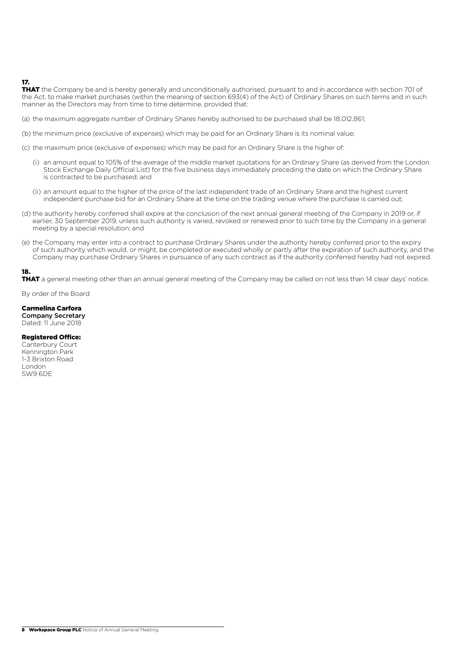## 17.

THAT the Company be and is hereby generally and unconditionally authorised, pursuant to and in accordance with section 701 of the Act, to make market purchases (within the meaning of section 693(4) of the Act) of Ordinary Shares on such terms and in such manner as the Directors may from time to time determine, provided that:

(a) the maximum aggregate number of Ordinary Shares hereby authorised to be purchased shall be 18,012,861;

(b) the minimum price (exclusive of expenses) which may be paid for an Ordinary Share is its nominal value;

(c) the maximum price (exclusive of expenses) which may be paid for an Ordinary Share is the higher of:

- (i) an amount equal to 105% of the average of the middle market quotations for an Ordinary Share (as derived from the London Stock Exchange Daily Official List) for the five business days immediately preceding the date on which the Ordinary Share is contracted to be purchased; and
- (ii) an amount equal to the higher of the price of the last independent trade of an Ordinary Share and the highest current independent purchase bid for an Ordinary Share at the time on the trading venue where the purchase is carried out;
- (d) the authority hereby conferred shall expire at the conclusion of the next annual general meeting of the Company in 2019 or, if earlier, 30 September 2019, unless such authority is varied, revoked or renewed prior to such time by the Company in a general meeting by a special resolution; and
- (e) the Company may enter into a contract to purchase Ordinary Shares under the authority hereby conferred prior to the expiry of such authority which would, or might, be completed or executed wholly or partly after the expiration of such authority, and the Company may purchase Ordinary Shares in pursuance of any such contract as if the authority conferred hereby had not expired.

## 18.

THAT a general meeting other than an annual general meeting of the Company may be called on not less than 14 clear days' notice.

By order of the Board

#### Carmelina Carfora

Company Secretary Dated: 11 June 2018

#### Registered Office:

Canterbury Court Kennington Park 1-3 Brixton Road London SW9 6DE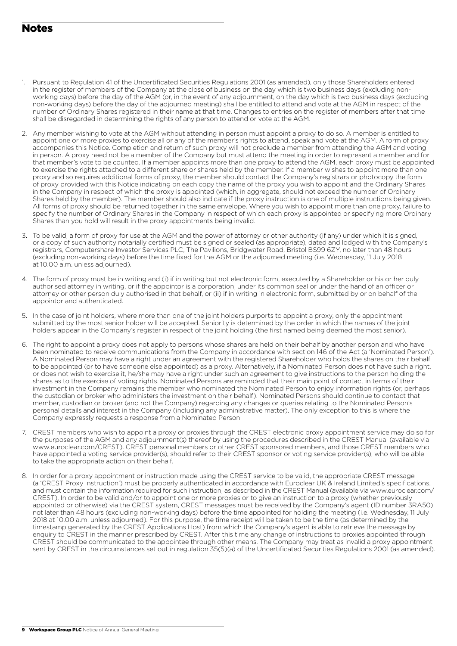# Notes

- 1. Pursuant to Regulation 41 of the Uncertificated Securities Regulations 2001 (as amended), only those Shareholders entered in the register of members of the Company at the close of business on the day which is two business days (excluding nonworking days) before the day of the AGM (or, in the event of any adjournment, on the day which is two business days (excluding non-working days) before the day of the adjourned meeting) shall be entitled to attend and vote at the AGM in respect of the number of Ordinary Shares registered in their name at that time. Changes to entries on the register of members after that time shall be disregarded in determining the rights of any person to attend or vote at the AGM.
- 2. Any member wishing to vote at the AGM without attending in person must appoint a proxy to do so. A member is entitled to appoint one or more proxies to exercise all or any of the member's rights to attend, speak and vote at the AGM. A form of proxy accompanies this Notice. Completion and return of such proxy will not preclude a member from attending the AGM and voting in person. A proxy need not be a member of the Company but must attend the meeting in order to represent a member and for that member's vote to be counted. If a member appoints more than one proxy to attend the AGM, each proxy must be appointed to exercise the rights attached to a different share or shares held by the member. If a member wishes to appoint more than one proxy and so requires additional forms of proxy, the member should contact the Company's registrars or photocopy the form of proxy provided with this Notice indicating on each copy the name of the proxy you wish to appoint and the Ordinary Shares in the Company in respect of which the proxy is appointed (which, in aggregate, should not exceed the number of Ordinary Shares held by the member). The member should also indicate if the proxy instruction is one of multiple instructions being given. All forms of proxy should be returned together in the same envelope. Where you wish to appoint more than one proxy, failure to specify the number of Ordinary Shares in the Company in respect of which each proxy is appointed or specifying more Ordinary Shares than you hold will result in the proxy appointments being invalid.
- 3. To be valid, a form of proxy for use at the AGM and the power of attorney or other authority (if any) under which it is signed, or a copy of such authority notarially certified must be signed or sealed (as appropriate), dated and lodged with the Company's registrars, Computershare Investor Services PLC, The Pavilions, Bridgwater Road, Bristol BS99 6ZY, no later than 48 hours (excluding non-working days) before the time fixed for the AGM or the adjourned meeting (i.e. Wednesday, 11 July 2018 at 10.00 a.m. unless adjourned).
- 4. The form of proxy must be in writing and (i) if in writing but not electronic form, executed by a Shareholder or his or her duly authorised attorney in writing, or if the appointor is a corporation, under its common seal or under the hand of an officer or attorney or other person duly authorised in that behalf, or (ii) if in writing in electronic form, submitted by or on behalf of the appointor and authenticated.
- 5. In the case of joint holders, where more than one of the joint holders purports to appoint a proxy, only the appointment submitted by the most senior holder will be accepted. Seniority is determined by the order in which the names of the joint holders appear in the Company's register in respect of the joint holding (the first named being deemed the most senior).
- 6. The right to appoint a proxy does not apply to persons whose shares are held on their behalf by another person and who have been nominated to receive communications from the Company in accordance with section 146 of the Act (a 'Nominated Person'). A Nominated Person may have a right under an agreement with the registered Shareholder who holds the shares on their behalf to be appointed (or to have someone else appointed) as a proxy. Alternatively, if a Nominated Person does not have such a right, or does not wish to exercise it, he/she may have a right under such an agreement to give instructions to the person holding the shares as to the exercise of voting rights. Nominated Persons are reminded that their main point of contact in terms of their investment in the Company remains the member who nominated the Nominated Person to enjoy information rights (or, perhaps the custodian or broker who administers the investment on their behalf). Nominated Persons should continue to contact that member, custodian or broker (and not the Company) regarding any changes or queries relating to the Nominated Person's personal details and interest in the Company (including any administrative matter). The only exception to this is where the Company expressly requests a response from a Nominated Person.
- 7. CREST members who wish to appoint a proxy or proxies through the CREST electronic proxy appointment service may do so for the purposes of the AGM and any adjournment(s) thereof by using the procedures described in the CREST Manual (available via www.euroclear.com/CREST). CREST personal members or other CREST sponsored members, and those CREST members who have appointed a voting service provider(s), should refer to their CREST sponsor or voting service provider(s), who will be able to take the appropriate action on their behalf.
- 8. In order for a proxy appointment or instruction made using the CREST service to be valid, the appropriate CREST message (a 'CREST Proxy Instruction') must be properly authenticated in accordance with Euroclear UK & Ireland Limited's specifications, and must contain the information required for such instruction, as described in the CREST Manual (available via www.euroclear.com/ CREST). In order to be valid and/or to appoint one or more proxies or to give an instruction to a proxy (whether previously appointed or otherwise) via the CREST system, CREST messages must be received by the Company's agent (ID number 3RA50) not later than 48 hours (excluding non-working days) before the time appointed for holding the meeting (i.e. Wednesday, 11 July 2018 at 10.00 a.m. unless adjourned). For this purpose, the time receipt will be taken to be the time (as determined by the timestamp generated by the CREST Applications Host) from which the Company's agent is able to retrieve the message by enquiry to CREST in the manner prescribed by CREST. After this time any change of instructions to proxies appointed through CREST should be communicated to the appointee through other means. The Company may treat as invalid a proxy appointment sent by CREST in the circumstances set out in regulation 35(5)(a) of the Uncertificated Securities Regulations 2001 (as amended).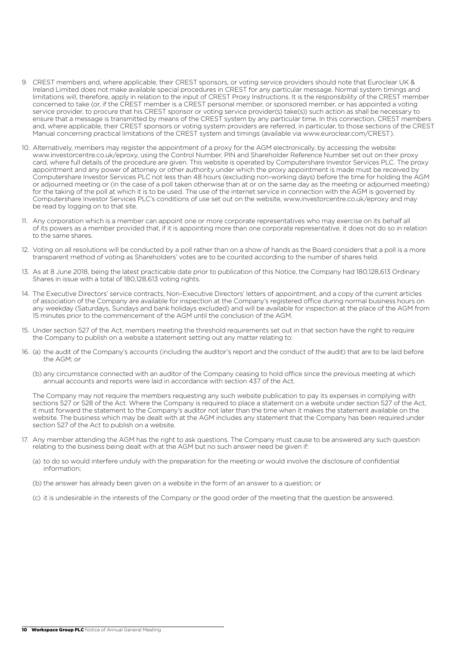- 9. CREST members and, where applicable, their CREST sponsors, or voting service providers should note that Euroclear UK & Ireland Limited does not make available special procedures in CREST for any particular message. Normal system timings and limitations will, therefore, apply in relation to the input of CREST Proxy Instructions. It is the responsibility of the CREST member concerned to take (or, if the CREST member is a CREST personal member, or sponsored member, or has appointed a voting service provider, to procure that his CREST sponsor or voting service provider(s) take(s)) such action as shall be necessary to ensure that a message is transmitted by means of the CREST system by any particular time. In this connection, CREST members and, where applicable, their CREST sponsors or voting system providers are referred, in particular, to those sections of the CREST Manual concerning practical limitations of the CREST system and timings (available via www.euroclear.com/CREST).
- 10. Alternatively, members may register the appointment of a proxy for the AGM electronically, by accessing the website: www.investorcentre.co.uk/eproxy, using the Control Number, PIN and Shareholder Reference Number set out on their proxy card, where full details of the procedure are given. This website is operated by Computershare Investor Services PLC. The proxy appointment and any power of attorney or other authority under which the proxy appointment is made must be received by Computershare Investor Services PLC not less than 48 hours (excluding non-working days) before the time for holding the AGM or adjourned meeting or (in the case of a poll taken otherwise than at or on the same day as the meeting or adjourned meeting) for the taking of the poll at which it is to be used. The use of the internet service in connection with the AGM is governed by Computershare Investor Services PLC's conditions of use set out on the website, www.investorcentre.co.uk/eproxy and may be read by logging on to that site.
- 11. Any corporation which is a member can appoint one or more corporate representatives who may exercise on its behalf all of its powers as a member provided that, if it is appointing more than one corporate representative, it does not do so in relation to the same shares.
- 12. Voting on all resolutions will be conducted by a poll rather than on a show of hands as the Board considers that a poll is a more transparent method of voting as Shareholders' votes are to be counted according to the number of shares held.
- 13. As at 8 June 2018, being the latest practicable date prior to publication of this Notice, the Company had 180,128,613 Ordinary Shares in issue with a total of 180,128,613 voting rights.
- 14. The Executive Directors' service contracts, Non-Executive Directors' letters of appointment, and a copy of the current articles of association of the Company are available for inspection at the Company's registered office during normal business hours on any weekday (Saturdays, Sundays and bank holidays excluded) and will be available for inspection at the place of the AGM from 15 minutes prior to the commencement of the AGM until the conclusion of the AGM.
- 15. Under section 527 of the Act, members meeting the threshold requirements set out in that section have the right to require the Company to publish on a website a statement setting out any matter relating to:
- 16. (a) the audit of the Company's accounts (including the auditor's report and the conduct of the audit) that are to be laid before the AGM; or
	- (b) any circumstance connected with an auditor of the Company ceasing to hold office since the previous meeting at which annual accounts and reports were laid in accordance with section 437 of the Act.

 The Company may not require the members requesting any such website publication to pay its expenses in complying with sections 527 or 528 of the Act. Where the Company is required to place a statement on a website under section 527 of the Act, it must forward the statement to the Company's auditor not later than the time when it makes the statement available on the website. The business which may be dealt with at the AGM includes any statement that the Company has been required under section 527 of the Act to publish on a website.

- 17. Any member attending the AGM has the right to ask questions. The Company must cause to be answered any such question relating to the business being dealt with at the AGM but no such answer need be given if:
	- (a) to do so would interfere unduly with the preparation for the meeting or would involve the disclosure of confidential information;
	- (b) the answer has already been given on a website in the form of an answer to a question; or
	- (c) it is undesirable in the interests of the Company or the good order of the meeting that the question be answered.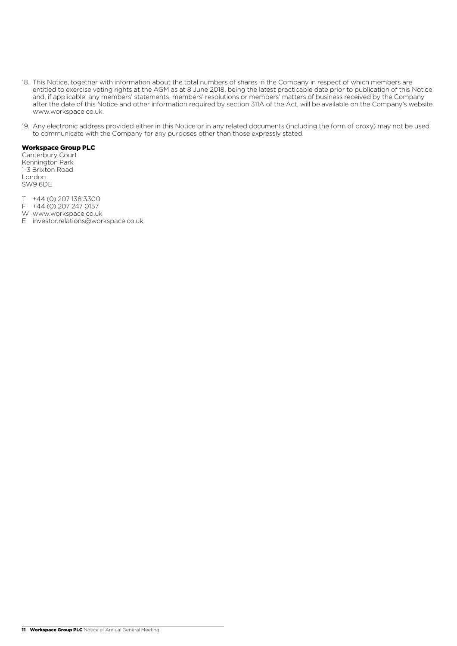- 18. This Notice, together with information about the total numbers of shares in the Company in respect of which members are entitled to exercise voting rights at the AGM as at 8 June 2018, being the latest practicable date prior to publication of this Notice and, if applicable, any members' statements, members' resolutions or members' matters of business received by the Company after the date of this Notice and other information required by section 311A of the Act, will be available on the Company's website www.workspace.co.uk.
- 19. Any electronic address provided either in this Notice or in any related documents (including the form of proxy) may not be used to communicate with the Company for any purposes other than those expressly stated.

Canterbury Court Kennington Park 1-3 Brixton Road London SW9 6DE

- T +44 (0) 207 138 3300
- F +44 (0) 207 247 0157
- W www.workspace.co.uk
- E investor.relations@workspace.co.uk